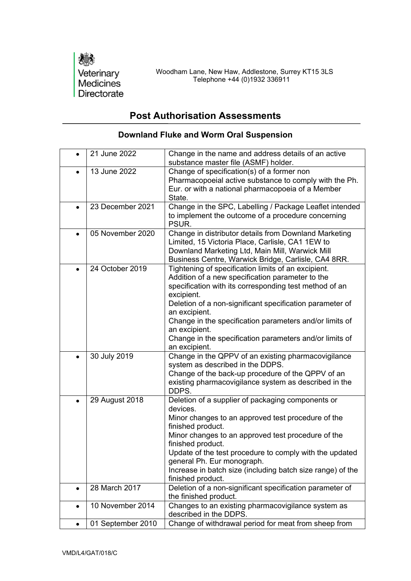

## **Post Authorisation Assessments**

|           | 21 June 2022      | Change in the name and address details of an active<br>substance master file (ASMF) holder.                                                                                                                                                                                                                                                                                                                          |
|-----------|-------------------|----------------------------------------------------------------------------------------------------------------------------------------------------------------------------------------------------------------------------------------------------------------------------------------------------------------------------------------------------------------------------------------------------------------------|
|           | 13 June 2022      | Change of specification(s) of a former non<br>Pharmacopoeial active substance to comply with the Ph.<br>Eur. or with a national pharmacopoeia of a Member<br>State.                                                                                                                                                                                                                                                  |
|           | 23 December 2021  | Change in the SPC, Labelling / Package Leaflet intended<br>to implement the outcome of a procedure concerning<br>PSUR.                                                                                                                                                                                                                                                                                               |
| $\bullet$ | 05 November 2020  | Change in distributor details from Downland Marketing<br>Limited, 15 Victoria Place, Carlisle, CA1 1EW to<br>Downland Marketing Ltd, Main Mill, Warwick Mill<br>Business Centre, Warwick Bridge, Carlisle, CA4 8RR.                                                                                                                                                                                                  |
|           | 24 October 2019   | Tightening of specification limits of an excipient.<br>Addition of a new specification parameter to the<br>specification with its corresponding test method of an<br>excipient.<br>Deletion of a non-significant specification parameter of<br>an excipient.<br>Change in the specification parameters and/or limits of<br>an excipient.<br>Change in the specification parameters and/or limits of<br>an excipient. |
| $\bullet$ | 30 July 2019      | Change in the QPPV of an existing pharmacovigilance<br>system as described in the DDPS.<br>Change of the back-up procedure of the QPPV of an<br>existing pharmacovigilance system as described in the<br>DDPS.                                                                                                                                                                                                       |
|           | 29 August 2018    | Deletion of a supplier of packaging components or<br>devices.<br>Minor changes to an approved test procedure of the<br>finished product.<br>Minor changes to an approved test procedure of the<br>finished product.<br>Update of the test procedure to comply with the updated<br>general Ph. Eur monograph.<br>Increase in batch size (including batch size range) of the<br>finished product.                      |
| $\bullet$ | 28 March 2017     | Deletion of a non-significant specification parameter of<br>the finished product.                                                                                                                                                                                                                                                                                                                                    |
| $\bullet$ | 10 November 2014  | Changes to an existing pharmacovigilance system as<br>described in the DDPS.                                                                                                                                                                                                                                                                                                                                         |
| $\bullet$ | 01 September 2010 | Change of withdrawal period for meat from sheep from                                                                                                                                                                                                                                                                                                                                                                 |

## **Downland Fluke and Worm Oral Suspension**